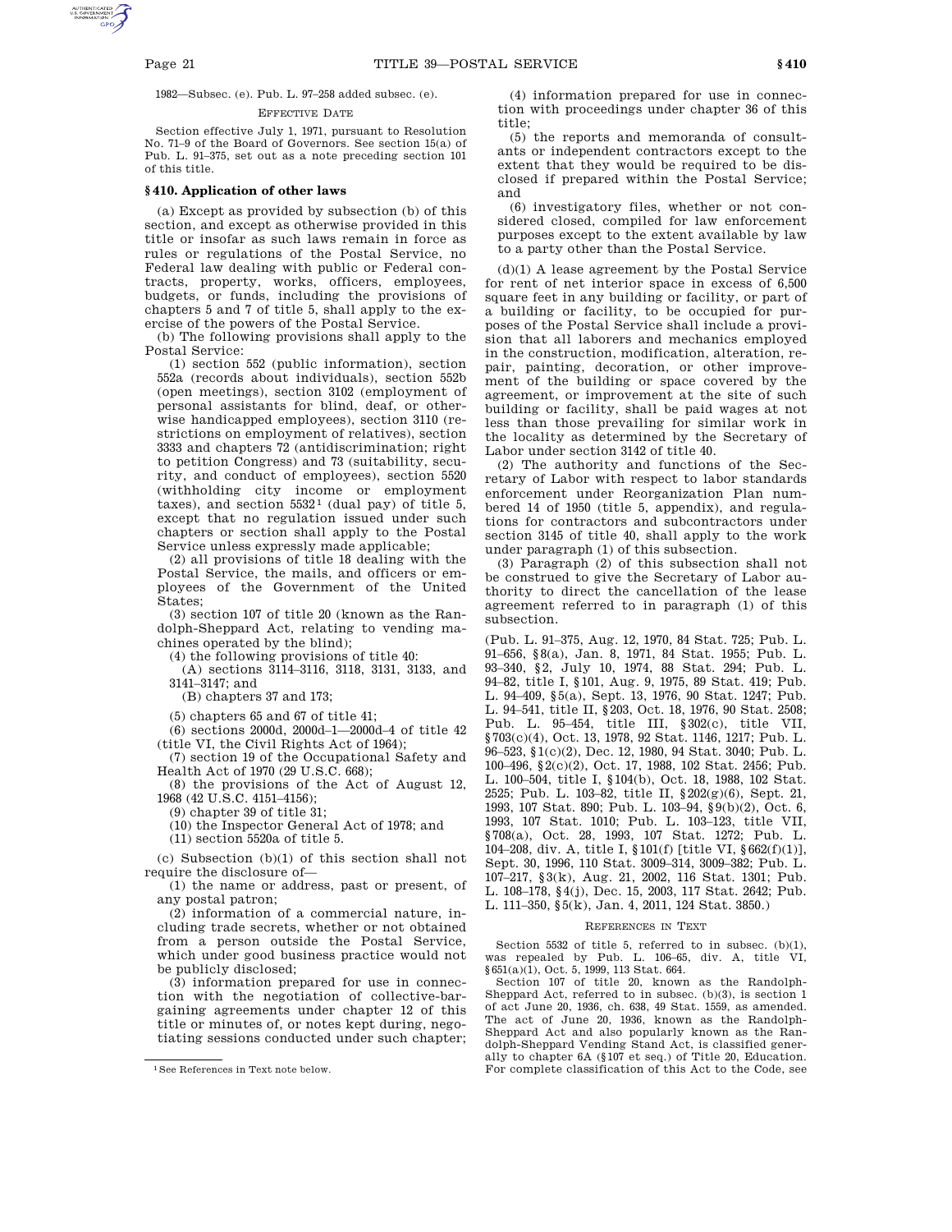1982—Subsec. (e). Pub. L. 97–258 added subsec. (e).

#### EFFECTIVE DATE

Section effective July 1, 1971, pursuant to Resolution No. 71–9 of the Board of Governors. See section 15(a) of Pub. L. 91–375, set out as a note preceding section 101 of this title.

### **§ 410. Application of other laws**

(a) Except as provided by subsection (b) of this section, and except as otherwise provided in this title or insofar as such laws remain in force as rules or regulations of the Postal Service, no Federal law dealing with public or Federal contracts, property, works, officers, employees, budgets, or funds, including the provisions of chapters 5 and 7 of title 5, shall apply to the exercise of the powers of the Postal Service.

(b) The following provisions shall apply to the Postal Service:

(1) section 552 (public information), section 552a (records about individuals), section 552b (open meetings), section 3102 (employment of personal assistants for blind, deaf, or otherwise handicapped employees), section 3110 (restrictions on employment of relatives), section 3333 and chapters 72 (antidiscrimination; right to petition Congress) and 73 (suitability, security, and conduct of employees), section 5520 (withholding city income or employment taxes), and section  $5532^1$  (dual pay) of title 5, except that no regulation issued under such chapters or section shall apply to the Postal Service unless expressly made applicable;

(2) all provisions of title 18 dealing with the Postal Service, the mails, and officers or employees of the Government of the United States;

(3) section 107 of title 20 (known as the Randolph-Sheppard Act, relating to vending machines operated by the blind);

(4) the following provisions of title 40:

(A) sections 3114–3116, 3118, 3131, 3133, and 3141–3147; and

(B) chapters 37 and 173;

(5) chapters 65 and 67 of title 41;

(6) sections 2000d, 2000d–1—2000d–4 of title 42 (title VI, the Civil Rights Act of 1964);

(7) section 19 of the Occupational Safety and Health Act of 1970 (29 U.S.C. 668);

(8) the provisions of the Act of August 12, 1968 (42 U.S.C. 4151–4156);

(9) chapter 39 of title 31;

(10) the Inspector General Act of 1978; and

(11) section 5520a of title 5.

(c) Subsection (b)(1) of this section shall not require the disclosure of—

(1) the name or address, past or present, of any postal patron;

(2) information of a commercial nature, including trade secrets, whether or not obtained from a person outside the Postal Service, which under good business practice would not be publicly disclosed;

(3) information prepared for use in connection with the negotiation of collective-bargaining agreements under chapter 12 of this title or minutes of, or notes kept during, negotiating sessions conducted under such chapter;

(4) information prepared for use in connection with proceedings under chapter 36 of this title;

(5) the reports and memoranda of consultants or independent contractors except to the extent that they would be required to be disclosed if prepared within the Postal Service; and

(6) investigatory files, whether or not considered closed, compiled for law enforcement purposes except to the extent available by law to a party other than the Postal Service.

(d)(1) A lease agreement by the Postal Service for rent of net interior space in excess of 6,500 square feet in any building or facility, or part of a building or facility, to be occupied for purposes of the Postal Service shall include a provision that all laborers and mechanics employed in the construction, modification, alteration, repair, painting, decoration, or other improvement of the building or space covered by the agreement, or improvement at the site of such building or facility, shall be paid wages at not less than those prevailing for similar work in the locality as determined by the Secretary of Labor under section 3142 of title 40.

(2) The authority and functions of the Secretary of Labor with respect to labor standards enforcement under Reorganization Plan numbered 14 of 1950 (title 5, appendix), and regulations for contractors and subcontractors under section 3145 of title 40, shall apply to the work under paragraph (1) of this subsection.

(3) Paragraph (2) of this subsection shall not be construed to give the Secretary of Labor authority to direct the cancellation of the lease agreement referred to in paragraph (1) of this subsection.

(Pub. L. 91–375, Aug. 12, 1970, 84 Stat. 725; Pub. L. 91–656, §8(a), Jan. 8, 1971, 84 Stat. 1955; Pub. L. 93–340, §2, July 10, 1974, 88 Stat. 294; Pub. L. 94–82, title I, §101, Aug. 9, 1975, 89 Stat. 419; Pub. L. 94–409, §5(a), Sept. 13, 1976, 90 Stat. 1247; Pub. L. 94–541, title II, §203, Oct. 18, 1976, 90 Stat. 2508; Pub. L. 95–454, title III, §302(c), title VII, §703(c)(4), Oct. 13, 1978, 92 Stat. 1146, 1217; Pub. L. 96–523, §1(c)(2), Dec. 12, 1980, 94 Stat. 3040; Pub. L. 100–496, §2(c)(2), Oct. 17, 1988, 102 Stat. 2456; Pub. L. 100–504, title I, §104(b), Oct. 18, 1988, 102 Stat. 2525; Pub. L. 103–82, title II, §202(g)(6), Sept. 21, 1993, 107 Stat. 890; Pub. L. 103–94, §9(b)(2), Oct. 6, 1993, 107 Stat. 1010; Pub. L. 103–123, title VII, §708(a), Oct. 28, 1993, 107 Stat. 1272; Pub. L. 104–208, div. A, title I, §101(f) [title VI, §662(f)(1)], Sept. 30, 1996, 110 Stat. 3009–314, 3009–382; Pub. L. 107–217, §3(k), Aug. 21, 2002, 116 Stat. 1301; Pub. L. 108–178, §4(j), Dec. 15, 2003, 117 Stat. 2642; Pub. L. 111–350, §5(k), Jan. 4, 2011, 124 Stat. 3850.)

# REFERENCES IN TEXT

Section 5532 of title 5, referred to in subsec. (b)(1), was repealed by Pub. L. 106–65, div. A, title VI, §651(a)(1), Oct. 5, 1999, 113 Stat. 664.

Section 107 of title 20, known as the Randolph-Sheppard Act, referred to in subsec. (b)(3), is section 1 of act June 20, 1936, ch. 638, 49 Stat. 1559, as amended. The act of June 20, 1936, known as the Randolph-Sheppard Act and also popularly known as the Randolph-Sheppard Vending Stand Act, is classified generally to chapter 6A (§107 et seq.) of Title 20, Education. For complete classification of this Act to the Code, see

<sup>1</sup>See References in Text note below.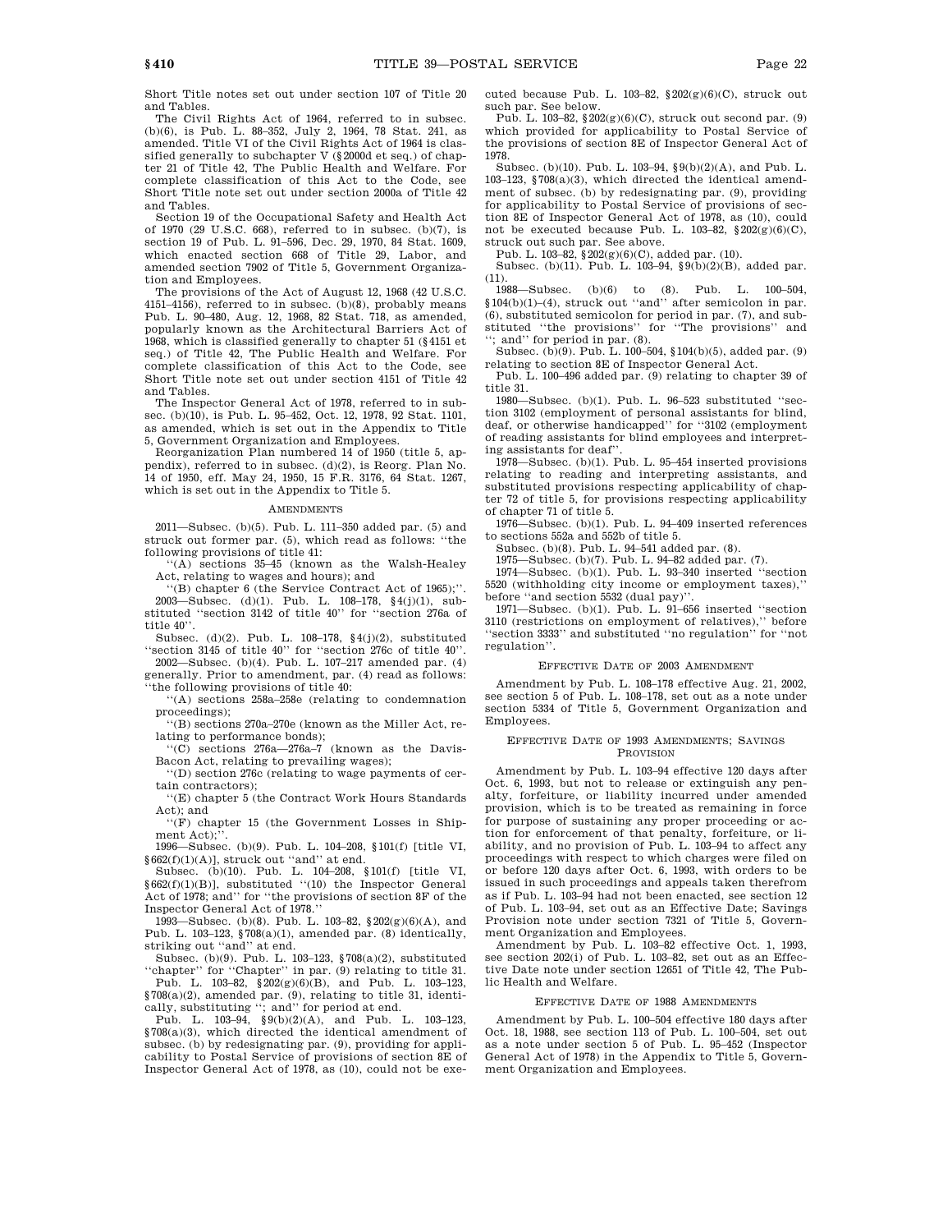Short Title notes set out under section 107 of Title 20 and Tables.

The Civil Rights Act of 1964, referred to in subsec. (b)(6), is Pub. L. 88–352, July 2, 1964, 78 Stat. 241, as amended. Title VI of the Civil Rights Act of 1964 is classified generally to subchapter V (§2000d et seq.) of chapter 21 of Title 42, The Public Health and Welfare. For complete classification of this Act to the Code, see Short Title note set out under section 2000a of Title 42 and Tables.

Section 19 of the Occupational Safety and Health Act of 1970 (29 U.S.C. 668), referred to in subsec. (b)(7), is section 19 of Pub. L. 91–596, Dec. 29, 1970, 84 Stat. 1609, which enacted section 668 of Title 29, Labor, and amended section 7902 of Title 5, Government Organization and Employees.

The provisions of the Act of August 12, 1968 (42 U.S.C. 4151–4156), referred to in subsec. (b)(8), probably means Pub. L. 90–480, Aug. 12, 1968, 82 Stat. 718, as amended, popularly known as the Architectural Barriers Act of 1968, which is classified generally to chapter 51 (§4151 et seq.) of Title 42, The Public Health and Welfare. For complete classification of this Act to the Code, see Short Title note set out under section 4151 of Title 42 and Tables.

The Inspector General Act of 1978, referred to in subsec. (b)(10), is Pub. L. 95–452, Oct. 12, 1978, 92 Stat. 1101, as amended, which is set out in the Appendix to Title 5, Government Organization and Employees.

Reorganization Plan numbered 14 of 1950 (title 5, appendix), referred to in subsec. (d)(2), is Reorg. Plan No. 14 of 1950, eff. May 24, 1950, 15 F.R. 3176, 64 Stat. 1267, which is set out in the Appendix to Title 5.

# AMENDMENTS

2011—Subsec. (b)(5). Pub. L. 111–350 added par. (5) and struck out former par. (5), which read as follows: ''the following provisions of title 41:

''(A) sections 35–45 (known as the Walsh-Healey Act, relating to wages and hours); and

''(B) chapter 6 (the Service Contract Act of 1965);''. 2003—Subsec. (d)(1). Pub. L. 108–178, §4(j)(1), substituted "section 3142 of title  $40$ " for "section 276a of title 40''.

Subsec. (d)(2). Pub. L. 108–178, §4(j)(2), substituted ''section 3145 of title 40'' for ''section 276c of title 40''. 2002—Subsec. (b)(4). Pub. L. 107–217 amended par. (4)

generally. Prior to amendment, par. (4) read as follows: ''the following provisions of title 40:

''(A) sections 258a–258e (relating to condemnation proceedings);

''(B) sections 270a–270e (known as the Miller Act, relating to performance bonds);

''(C) sections 276a—276a–7 (known as the Davis-Bacon Act, relating to prevailing wages);

''(D) section 276c (relating to wage payments of certain contractors);

''(E) chapter 5 (the Contract Work Hours Standards Act); and

''(F) chapter 15 (the Government Losses in Shipment. Act);'

1996—Subsec. (b)(9). Pub. L. 104–208, §101(f) [title VI, §662(f)(1)(A)], struck out ''and'' at end.

Subsec. (b)(10). Pub. L. 104–208, §101(f) [title VI, §662(f)(1)(B)], substituted ''(10) the Inspector General Act of 1978; and'' for ''the provisions of section 8F of the Inspector General Act of 1978.''

1993—Subsec. (b)(8). Pub. L. 103–82, §202(g)(6)(A), and Pub. L. 103–123, §708(a)(1), amended par. (8) identically, striking out "and" at end.

Subsec. (b)(9). Pub. L. 103–123, §708(a)(2), substituted ''chapter'' for ''Chapter'' in par. (9) relating to title 31.

Pub. L. 103–82,  $\${\bf 202(g)(6)(B)},$  and Pub. L. 103–123, §708(a)(2), amended par. (9), relating to title 31, identically, substituting "; and" for period at end.<br>Pub. L. 103–94,  $\S 9(b)(2)(A)$ , and Pub. L. 103–123,

§708(a)(3), which directed the identical amendment of subsec. (b) by redesignating par. (9), providing for applicability to Postal Service of provisions of section 8E of Inspector General Act of 1978, as (10), could not be executed because Pub. L.  $103-82$ ,  $202(g)(6)(C)$ , struck out such par. See below.

Pub. L. 103–82, §202(g)(6)(C), struck out second par. (9) which provided for applicability to Postal Service of the provisions of section 8E of Inspector General Act of 1978.

Subsec. (b)(10). Pub. L. 103–94, §9(b)(2)(A), and Pub. L. 103–123, §708(a)(3), which directed the identical amendment of subsec. (b) by redesignating par. (9), providing for applicability to Postal Service of provisions of section 8E of Inspector General Act of 1978, as (10), could not be executed because Pub. L.  $103-82$ ,  $$202(g)(6)(C)$ , struck out such par. See above.

Pub. L. 103–82, §202(g)(6)(C), added par. (10).

Subsec. (b)(11). Pub. L. 103–94, §9(b)(2)(B), added par.

 $^\mathrm{(11)}.$  1988—Subsec.  $(b)(6)$  to  $(8)$ . Pub. L. 100–504, §104(b)(1)–(4), struck out ''and'' after semicolon in par. (6), substituted semicolon for period in par. (7), and substituted ''the provisions'' for ''The provisions'' and ''; and'' for period in par. (8).

Subsec. (b)(9). Pub. L. 100–504, §104(b)(5), added par. (9) relating to section 8E of Inspector General Act.

Pub. L. 100–496 added par. (9) relating to chapter 39 of title 31.

1980—Subsec. (b)(1). Pub. L. 96–523 substituted ''section 3102 (employment of personal assistants for blind, deaf, or otherwise handicapped'' for ''3102 (employment of reading assistants for blind employees and interpreting assistants for deaf''.

1978—Subsec. (b)(1). Pub. L. 95–454 inserted provisions relating to reading and interpreting assistants, and substituted provisions respecting applicability of chapter 72 of title 5, for provisions respecting applicability

of chapter 71 of title 5. 1976—Subsec. (b)(1). Pub. L. 94–409 inserted references to sections 552a and 552b of title 5.

Subsec. (b)(8). Pub. L. 94–541 added par. (8).

1975—Subsec. (b)(7). Pub. L. 94–82 added par. (7).

1974—Subsec. (b)(1). Pub. L. 93–340 inserted ''section 5520 (withholding city income or employment taxes),'' before ''and section 5532 (dual pay)''.

1971—Subsec. (b)(1). Pub. L. 91–656 inserted ''section 3110 (restrictions on employment of relatives),'' before "section 3333" and substituted "no regulation" for "not regulation''.

# EFFECTIVE DATE OF 2003 AMENDMENT

Amendment by Pub. L. 108–178 effective Aug. 21, 2002, see section 5 of Pub. L. 108–178, set out as a note under section 5334 of Title 5, Government Organization and Employees.

# EFFECTIVE DATE OF 1993 AMENDMENTS; SAVINGS PROVISION

Amendment by Pub. L. 103–94 effective 120 days after Oct. 6, 1993, but not to release or extinguish any penalty, forfeiture, or liability incurred under amended provision, which is to be treated as remaining in force for purpose of sustaining any proper proceeding or action for enforcement of that penalty, forfeiture, or liability, and no provision of Pub. L. 103–94 to affect any proceedings with respect to which charges were filed on or before 120 days after Oct. 6, 1993, with orders to be issued in such proceedings and appeals taken therefrom as if Pub. L. 103–94 had not been enacted, see section 12 of Pub. L. 103–94, set out as an Effective Date; Savings Provision note under section 7321 of Title 5, Government Organization and Employees.

Amendment by Pub. L. 103–82 effective Oct. 1, 1993, see section 202(i) of Pub. L. 103-82, set out as an Effective Date note under section 12651 of Title 42, The Public Health and Welfare.

# EFFECTIVE DATE OF 1988 AMENDMENTS

Amendment by Pub. L. 100–504 effective 180 days after Oct. 18, 1988, see section 113 of Pub. L. 100–504, set out as a note under section 5 of Pub. L. 95–452 (Inspector General Act of 1978) in the Appendix to Title 5, Government Organization and Employees.